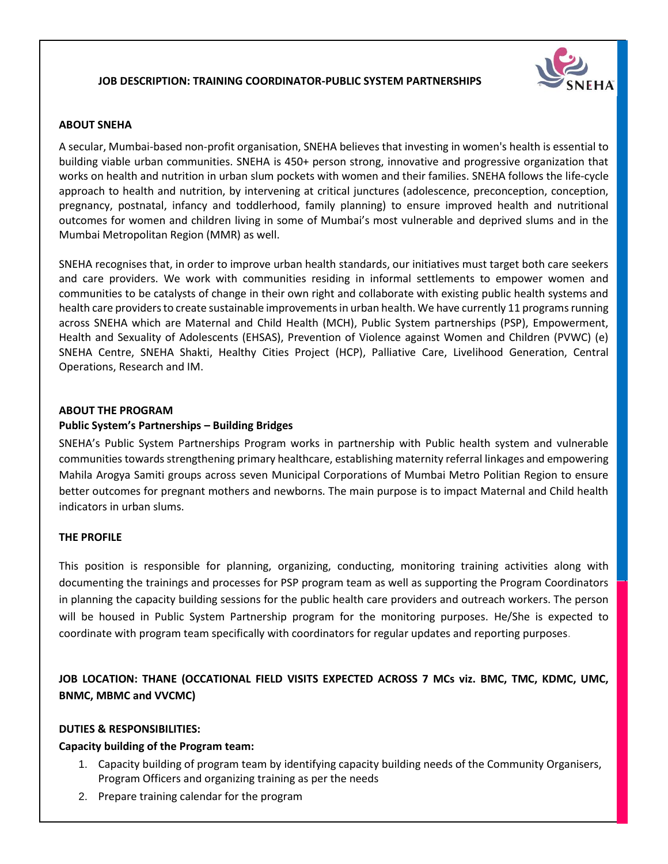## **JOB DESCRIPTION: TRAINING COORDINATOR-PUBLIC SYSTEM PARTNERSHIPS**



#### **ABOUT SNEHA**

A secular, Mumbai-based non-profit organisation, SNEHA believes that investing in women's health is essential to building viable urban communities. SNEHA is 450+ person strong, innovative and progressive organization that works on health and nutrition in urban slum pockets with women and their families. SNEHA follows the life-cycle approach to health and nutrition, by intervening at critical junctures (adolescence, preconception, conception, pregnancy, postnatal, infancy and toddlerhood, family planning) to ensure improved health and nutritional outcomes for women and children living in some of Mumbai's most vulnerable and deprived slums and in the Mumbai Metropolitan Region (MMR) as well.

SNEHA recognises that, in order to improve urban health standards, our initiatives must target both care seekers and care providers. We work with communities residing in informal settlements to empower women and communities to be catalysts of change in their own right and collaborate with existing public health systems and health care providers to create sustainable improvements in urban health. We have currently 11 programs running across SNEHA which are Maternal and Child Health (MCH), Public System partnerships (PSP), Empowerment, Health and Sexuality of Adolescents (EHSAS), Prevention of Violence against Women and Children (PVWC) (e) SNEHA Centre, SNEHA Shakti, Healthy Cities Project (HCP), Palliative Care, Livelihood Generation, Central Operations, Research and IM.

### **ABOUT THE PROGRAM**

### **Public System's Partnerships – Building Bridges**

SNEHA's Public System Partnerships Program works in partnership with Public health system and vulnerable communities towards strengthening primary healthcare, establishing maternity referral linkages and empowering Mahila Arogya Samiti groups across seven Municipal Corporations of Mumbai Metro Politian Region to ensure better outcomes for pregnant mothers and newborns. The main purpose is to impact Maternal and Child health indicators in urban slums.

#### **THE PROFILE**

This position is responsible for planning, organizing, conducting, monitoring training activities along with documenting the trainings and processes for PSP program team as well as supporting the Program Coordinators in planning the capacity building sessions for the public health care providers and outreach workers. The person will be housed in Public System Partnership program for the monitoring purposes. He/She is expected to coordinate with program team specifically with coordinators for regular updates and reporting purposes.

**JOB LOCATION: THANE (OCCATIONAL FIELD VISITS EXPECTED ACROSS 7 MCs viz. BMC, TMC, KDMC, UMC, BNMC, MBMC and VVCMC)**

#### **DUTIES & RESPONSIBILITIES:**

### **Capacity building of the Program team:**

- 1. Capacity building of program team by identifying capacity building needs of the Community Organisers, Program Officers and organizing training as per the needs
- 2. Prepare training calendar for the program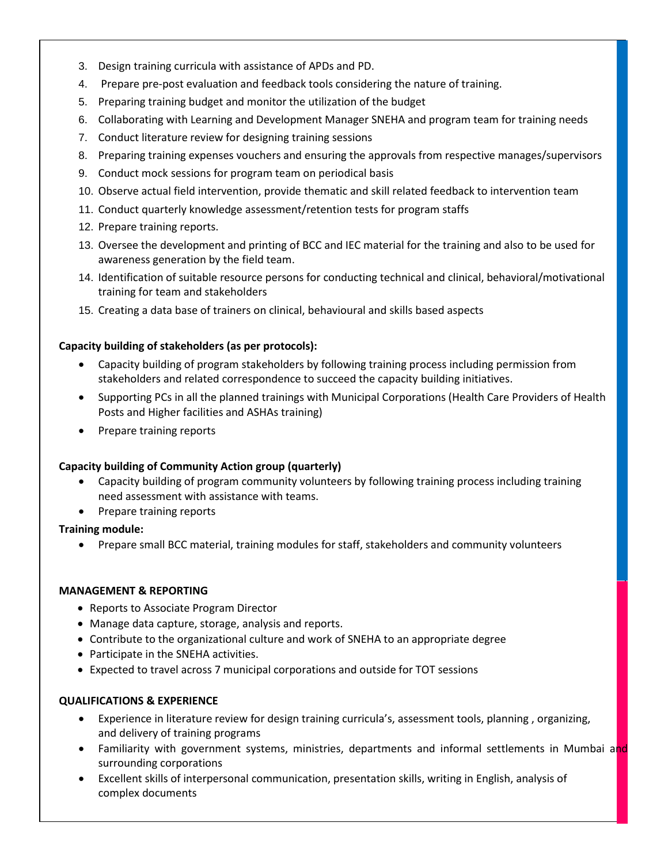- 3. Design training curricula with assistance of APDs and PD.
- 4. Prepare pre-post evaluation and feedback tools considering the nature of training.
- 5. Preparing training budget and monitor the utilization of the budget
- 6. Collaborating with Learning and Development Manager SNEHA and program team for training needs
- 7. Conduct literature review for designing training sessions
- 8. Preparing training expenses vouchers and ensuring the approvals from respective manages/supervisors
- 9. Conduct mock sessions for program team on periodical basis
- 10. Observe actual field intervention, provide thematic and skill related feedback to intervention team
- 11. Conduct quarterly knowledge assessment/retention tests for program staffs
- 12. Prepare training reports.
- 13. Oversee the development and printing of BCC and IEC material for the training and also to be used for awareness generation by the field team.
- 14. Identification of suitable resource persons for conducting technical and clinical, behavioral/motivational training for team and stakeholders
- 15. Creating a data base of trainers on clinical, behavioural and skills based aspects

### **Capacity building of stakeholders (as per protocols):**

- Capacity building of program stakeholders by following training process including permission from stakeholders and related correspondence to succeed the capacity building initiatives.
- Supporting PCs in all the planned trainings with Municipal Corporations (Health Care Providers of Health Posts and Higher facilities and ASHAs training)
- Prepare training reports

### **Capacity building of Community Action group (quarterly)**

- Capacity building of program community volunteers by following training process including training need assessment with assistance with teams.
- Prepare training reports

### **Training module:**

Prepare small BCC material, training modules for staff, stakeholders and community volunteers

### **MANAGEMENT & REPORTING**

- Reports to Associate Program Director
- Manage data capture, storage, analysis and reports.
- Contribute to the organizational culture and work of SNEHA to an appropriate degree
- Participate in the SNEHA activities.
- Expected to travel across 7 municipal corporations and outside for TOT sessions

### **QUALIFICATIONS & EXPERIENCE**

- Experience in literature review for design training curricula's, assessment tools, planning , organizing, and delivery of training programs
- Familiarity with government systems, ministries, departments and informal settlements in Mumbai and surrounding corporations
- Excellent skills of interpersonal communication, presentation skills, writing in English, analysis of complex documents